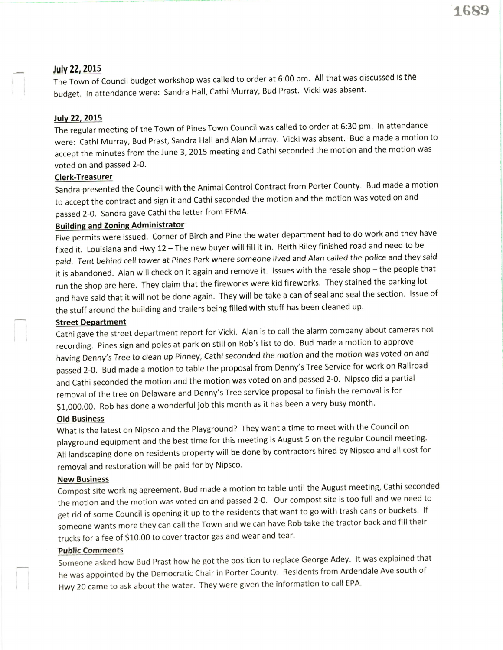# lulu 22,2015

The Town of Council budget workshop was called to order at 6:00 pm. All that was discussed is the budget. In attendance were: Sandra Hall, Cathi Murray, Bud Prast. Vicki was absent.

## July 22, 2015

The regular meeting of the Town of Pines Town Council was called to order at 6:30 pm. ln attendance were: Cathi Murray, Bud prast, Sandra Hall and Alan Murray. Vicki was absent. Bud a made a motion to accept the minutes from the June 3, 2015 meeting and Cathi seconded the motion and the motion was voted on and passed 2-0.

## Clerk-Treasurer

Sandra presented the Council with the Animal Control Contract from Porter County. Bud made a motion to accept the contract and sign it and cathi seconded the motion and the motion was voted on and passed 2-0. Sandra gave Cathi the letter from FEMA.

# Buildine and Zoning Administrator

Five permits were issued. Corner of Birch and Pine the water department had to do work and they have fixed it. Louisiana and Hwy 12 - The new buyer will fill it in. Reith Riley finished road and need to be paid. Tent behind cell tower at Pines Park where someone lived and Alan called the police and they said it is abandoned. Alan will check on it again and remove it. Issues with the resale shop - the people that run the shop are here. They claim that the fireworks were kid fireworks. They stained the parking lot and have said that it will not be done again. They will be take a can of seal and seal the section. Issue of the stuff around the building and trailers being filled with stuff has been cleaned up.

#### Street Department

cathi gave the street department report for vicki. Alan is to call the alarm company about cameras not recording. pines sign and poles at park on still on Rob's list to do. Bud made a motion to approve having Denny's Tree to clean up Pinney, Cathi seconded the motion and the motion was voted on and passed 2-0. Bud made a motion to table the proposal from Denny's Tree Service for work on Railroad and Cathi seconded the motion and the motion was voted on and passed 2-0. Nipsco did a partial removal of the tree on Delaware and Denny's Tree service proposal to finish the removal is for \$1,000.00. Rob has done a wonderful job this month as it has been a very busy month.

## Old Business

What is the latest on Nipsco and the Playground? They want a time to meet with the Council on playground equipment and the best time for this meeting is August 5 on the regular Council meeting. All landscaping done on residents property will be done by contractors hired by Nipsco and all cost for removal and restoration will be paid for by Nipsco.

## New Business

Compost site working agreement. Bud made a motion to table until the August meeting, Cathi seconded the motion and the motion was voted on and passed 2-0. Our compost site is too full and we need to get rid of some Council is opening it up to the residents that want to go with trash cans or buckets. If someone wants more they can call the Town and we can have Rob take the tractor back and fill their trucks for a fee of S10.00 to cover tractor gas and wear and tear.

## Public Comments

Someone asked how Bud prast how he got the position to replace George Adey. lt was explained that he was appointed by the Democratic Chair in Porter County. Residents from Ardendale Ave south of Hwy 20 came to ask about the water. They were given the information to call EPA.